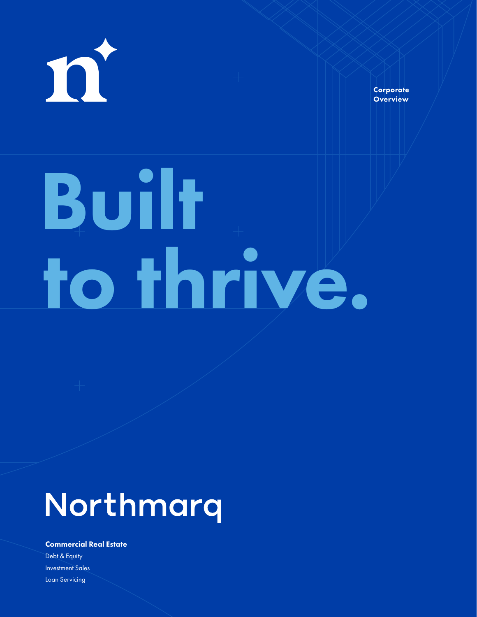

**Corporate Overview** 

# to thrive. Built

### Northmarq

#### Commercial Real Estate

Debt & Equity Investment Sales Loan Servicing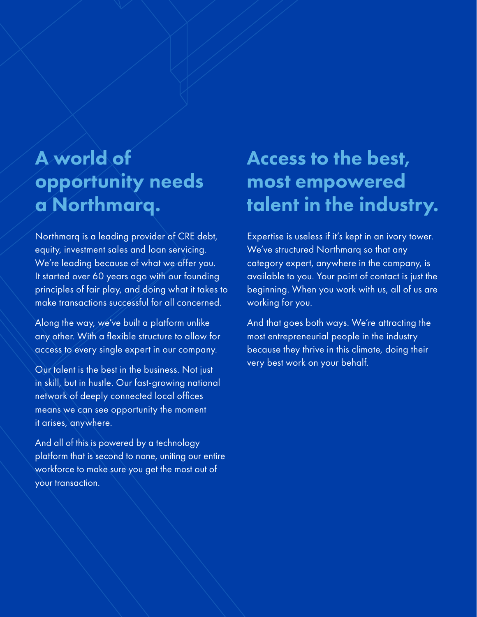#### A world of opportunity needs a Northmarq.

Northmarq is a leading provider of CRE debt, equity, investment sales and loan servicing. We're leading because of what we offer you. It started over 60 years ago with our founding principles of fair play, and doing what it takes to make transactions successful for all concerned.

Along the way, we've built a platform unlike any other. With a flexible structure to allow for access to every single expert in our company.

Our talent is the best in the business. Not just in skill, but in hustle. Our fast-growing national network of deeply connected local offices means we can see opportunity the moment it arises, anywhere.

And all of this is powered by a technology platform that is second to none, uniting our entire workforce to make sure you get the most out of your transaction.

#### Access to the best, most empowered talent in the industry.

Expertise is useless if it's kept in an ivory tower. We've structured Northmarq so that any category expert, anywhere in the company, is available to you. Your point of contact is just the beginning. When you work with us, all of us are working for you.

And that goes both ways. We're attracting the most entrepreneurial people in the industry because they thrive in this climate, doing their very best work on your behalf.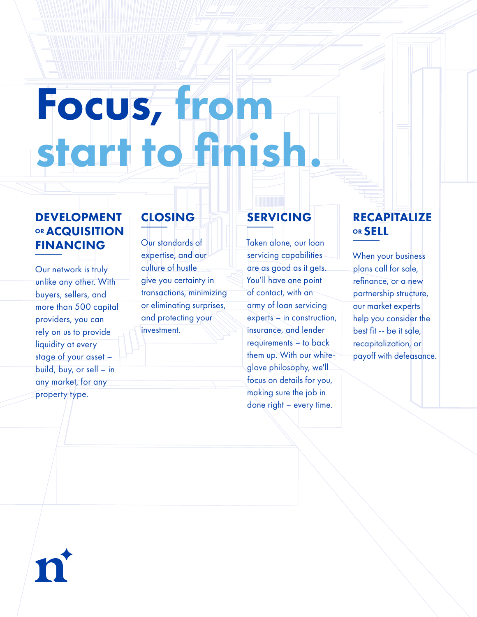## Focus, from start to finish.

#### DEVELOPMENT **OR ACQUISITION** FINANCING

Our network is truly unlike any other. With buyers, sellers, and more than 500 capital providers, you can rely on us to provide liquidity at every stage of your asset – build, buy, or sell – in any market, for any property type.

#### **CLOSING**

Our standards of expertise, and our culture of hustle give you certainty in transactions, minimizing or eliminating surprises, and protecting your investment.

#### SERVICING

Taken alone, our loan servicing capabilities are as good as it gets. You'll have one point of contact, with an army of loan servicing experts – in construction, insurance, and lender requirements – to back them up. With our whiteglove philosophy, we'll focus on details for you, making sure the job in done right – every time.

#### RECAPITALIZE OR SELL

When your business plans call for sale, refinance, or a new partnership structure, our market experts help you consider the best fit -- be it sale, recapitalization, or payoff with defeasance.

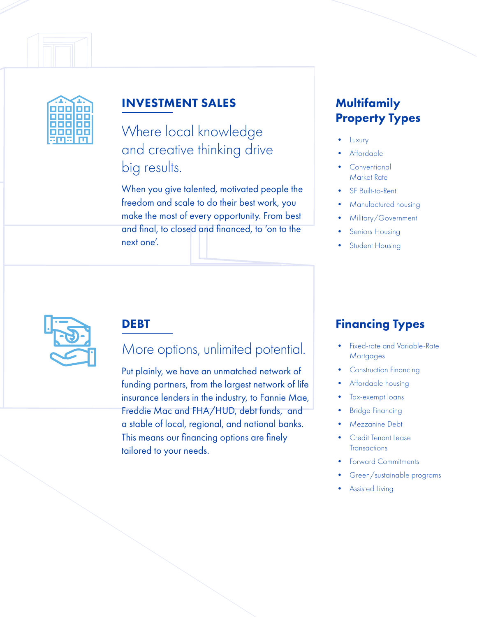

#### INVESTMENT SALES

Where local knowledge and creative thinking drive big results.

When you give talented, motivated people the freedom and scale to do their best work, you make the most of every opportunity. From best and final, to closed and financed, to 'on to the next one'.

#### **Multifamily** Property Types

- Luxury
- **Affordable**
- **Conventional** Market Rate
- SF Built-to-Rent
- Manufactured housing
- Military/Government
- Seniors Housing
- Student Housing



#### DEBT

#### More options, unlimited potential.

Put plainly, we have an unmatched network of funding partners, from the largest network of life insurance lenders in the industry, to Fannie Mae, Freddie Mac and FHA/HUD, debt funds, and a stable of local, regional, and national banks. This means our financing options are finely tailored to your needs.

#### Financing Types

- Fixed-rate and Variable-Rate **Mortgages**
- Construction Financing
- Affordable housing
- Tax-exempt loans
- **Bridge Financing**
- Mezzanine Debt
- Credit Tenant Lease **Transactions**
- Forward Commitments
- Green/sustainable programs
- **Assisted Living**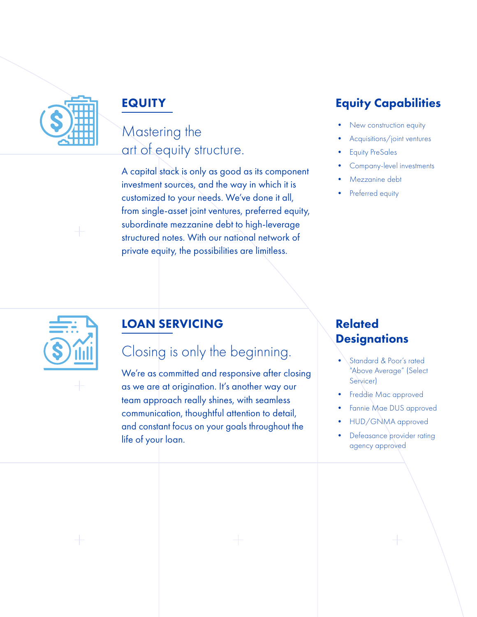

#### EQUITY

#### Mastering the art of equity structure.

A capital stack is only as good as its component investment sources, and the way in which it is customized to your needs. We've done it all, from single-asset joint ventures, preferred equity, subordinate mezzanine debt to high-leverage structured notes. With our national network of private equity, the possibilities are limitless.

#### Equity Capabilities

- New construction equity
- Acquisitions/joint ventures
- Equity PreSales
- Company-level investments
- Mezzanine debt
- Preferred equity



#### LOAN SERVICING

#### Closing is only the beginning.

We're as committed and responsive after closing as we are at origination. It's another way our team approach really shines, with seamless communication, thoughtful attention to detail, and constant focus on your goals throughout the life of your loan.

#### Related **Designations**

- Standard & Poor's rated "Above Average" (Select Servicer)
- Freddie Mac approved
- Fannie Mae DUS approved
- HUD/GNMA approved
- Defeasance provider rating agency approved